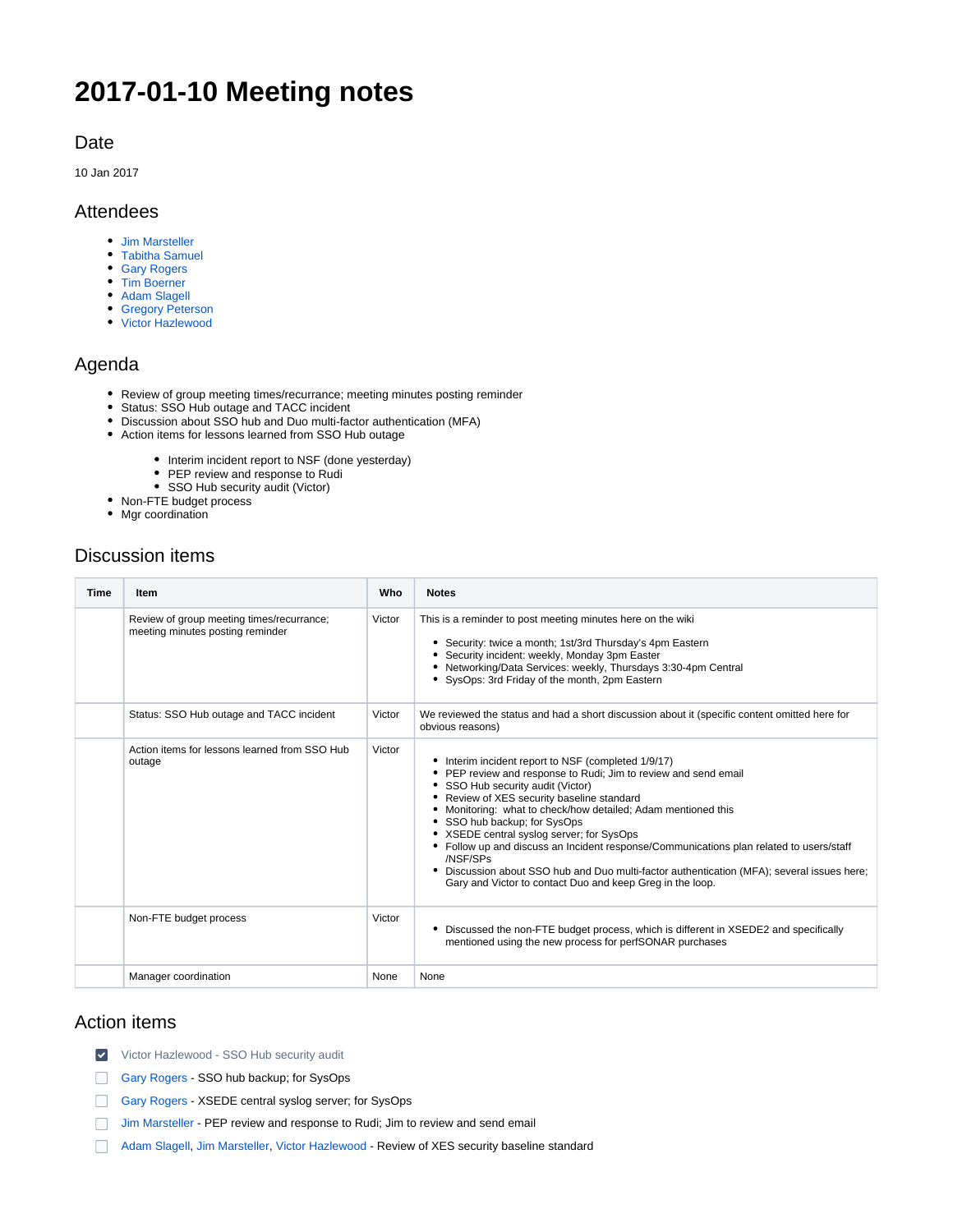# **2017-01-10 Meeting notes**

### Date

10 Jan 2017

## Attendees

- [Jim Marsteller](https://confluence.xsede.org/display/~jam)
- [Tabitha Samuel](https://confluence.xsede.org/display/~tsamuel)
- [Gary Rogers](https://confluence.xsede.org/display/~grogers)
- [Tim Boerner](https://confluence.xsede.org/display/~tboerner)
- [Adam Slagell](https://confluence.xsede.org/display/~slagell)
- [Gregory Peterson](https://confluence.xsede.org/display/~gdp) [Victor Hazlewood](https://confluence.xsede.org/display/~victorh)

# Agenda

- Review of group meeting times/recurrance; meeting minutes posting reminder
- Status: SSO Hub outage and TACC incident
- Discussion about SSO hub and Duo multi-factor authentication (MFA)
- Action items for lessons learned from SSO Hub outage
	- Interim incident report to NSF (done yesterday)
	- PEP review and response to Rudi
	- SSO Hub security audit (Victor)
- Non-FTE budget process
- Mgr coordination

# Discussion items

| <b>Time</b> | Item                                                                          | Who    | <b>Notes</b>                                                                                                                                                                                                                                                                                                                                                                                                                                                                                                                                                                                                              |
|-------------|-------------------------------------------------------------------------------|--------|---------------------------------------------------------------------------------------------------------------------------------------------------------------------------------------------------------------------------------------------------------------------------------------------------------------------------------------------------------------------------------------------------------------------------------------------------------------------------------------------------------------------------------------------------------------------------------------------------------------------------|
|             | Review of group meeting times/recurrance;<br>meeting minutes posting reminder | Victor | This is a reminder to post meeting minutes here on the wiki<br>• Security: twice a month; 1st/3rd Thursday's 4pm Eastern<br>• Security incident: weekly, Monday 3pm Easter<br>• Networking/Data Services: weekly, Thursdays 3:30-4pm Central<br>• SysOps: 3rd Friday of the month, 2pm Eastern                                                                                                                                                                                                                                                                                                                            |
|             | Status: SSO Hub outage and TACC incident                                      | Victor | We reviewed the status and had a short discussion about it (specific content omitted here for<br>obvious reasons)                                                                                                                                                                                                                                                                                                                                                                                                                                                                                                         |
|             | Action items for lessons learned from SSO Hub<br>outage                       | Victor | • Interim incident report to NSF (completed 1/9/17)<br>• PEP review and response to Rudi; Jim to review and send email<br>• SSO Hub security audit (Victor)<br>• Review of XES security baseline standard<br>• Monitoring: what to check/how detailed; Adam mentioned this<br>• SSO hub backup; for SysOps<br>• XSEDE central syslog server; for SysOps<br>• Follow up and discuss an Incident response/Communications plan related to users/staff<br>/NSF/SPs<br>• Discussion about SSO hub and Duo multi-factor authentication (MFA); several issues here;<br>Gary and Victor to contact Duo and keep Greg in the loop. |
|             | Non-FTE budget process                                                        | Victor | • Discussed the non-FTE budget process, which is different in XSEDE2 and specifically<br>mentioned using the new process for perfSONAR purchases                                                                                                                                                                                                                                                                                                                                                                                                                                                                          |
|             | Manager coordination                                                          | None   | None                                                                                                                                                                                                                                                                                                                                                                                                                                                                                                                                                                                                                      |

## Action items

- [Victor Hazlewood](https://confluence.xsede.org/display/~victorh) SSO Hub security audit
- [Gary Rogers](https://confluence.xsede.org/display/~grogers)  SSO hub backup; for SysOps
- [Gary Rogers](https://confluence.xsede.org/display/~grogers)  XSEDE central syslog server; for SysOps
- [Jim Marsteller](https://confluence.xsede.org/display/~jam)  PEP review and response to Rudi; Jim to review and send email
- [Adam Slagell](https://confluence.xsede.org/display/~slagell), [Jim Marsteller](https://confluence.xsede.org/display/~jam), [Victor Hazlewood](https://confluence.xsede.org/display/~victorh)  Review of XES security baseline standard